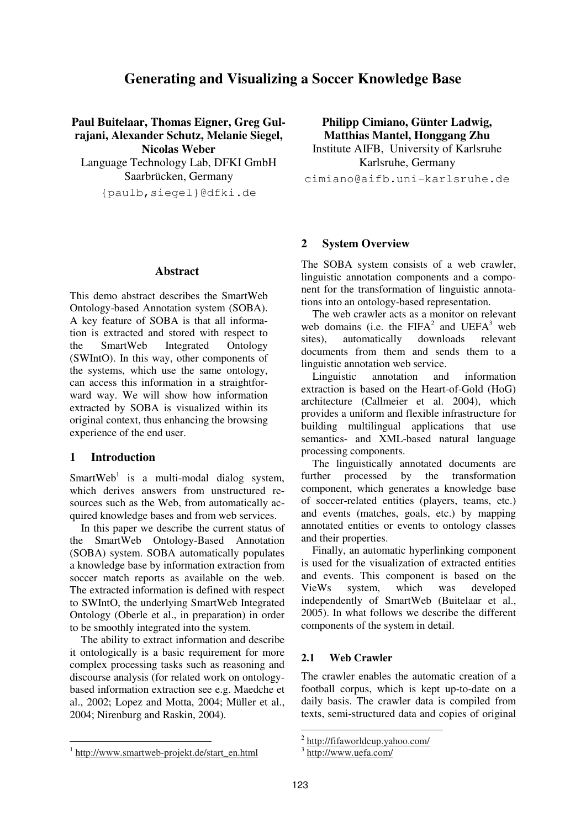# **Generating and Visualizing a Soccer Knowledge Base**

**Paul Buitelaar, Thomas Eigner, Greg Gulrajani, Alexander Schutz, Melanie Siegel, Nicolas Weber** Language Technology Lab, DFKI GmbH

Saarbrücken, Germany

{paulb,siegel}@dfki.de

#### **Abstract**

This demo abstract describes the SmartWeb Ontology-based Annotation system (SOBA). A key feature of SOBA is that all information is extracted and stored with respect to the SmartWeb Integrated Ontology (SWIntO). In this way, other components of the systems, which use the same ontology, can access this information in a straightforward way. We will show how information extracted by SOBA is visualized within its original context, thus enhancing the browsing experience of the end user.

#### **1 Introduction**

SmartWeb<sup>1</sup> is a multi-modal dialog system, which derives answers from unstructured resources such as the Web, from automatically acquired knowledge bases and from web services.

In this paper we describe the current status of the SmartWeb Ontology-Based Annotation (SOBA) system. SOBA automatically populates a knowledge base by information extraction from soccer match reports as available on the web. The extracted information is defined with respect to SWIntO, the underlying SmartWeb Integrated Ontology (Oberle et al., in preparation) in order to be smoothly integrated into the system.

The ability to extract information and describe it ontologically is a basic requirement for more complex processing tasks such as reasoning and discourse analysis (for related work on ontologybased information extraction see e.g. Maedche et al., 2002; Lopez and Motta, 2004; Müller et al., 2004; Nirenburg and Raskin, 2004).

**Philipp Cimiano, Günter Ladwig, Matthias Mantel, Honggang Zhu** Institute AIFB, University of Karlsruhe

Karlsruhe, Germany cimiano@aifb.uni-karlsruhe.de

# **2 System Overview**

The SOBA system consists of a web crawler, linguistic annotation components and a component for the transformation of linguistic annotations into an ontology-based representation.

The web crawler acts as a monitor on relevant web domains (i.e. the  $FIFA^2$  and  $UEFA^3$  web sites), automatically downloads relevant documents from them and sends them to a linguistic annotation web service.

Linguistic annotation and information extraction is based on the Heart-of-Gold (HoG) architecture (Callmeier et al. 2004), which provides a uniform and flexible infrastructure for building multilingual applications that use semantics- and XML-based natural language processing components.

The linguistically annotated documents are further processed by the transformation component, which generates a knowledge base of soccer-related entities (players, teams, etc.) and events (matches, goals, etc.) by mapping annotated entities or events to ontology classes and their properties.

Finally, an automatic hyperlinking component is used for the visualization of extracted entities and events. This component is based on the VieWs system, which was developed independently of SmartWeb (Buitelaar et al., 2005). In what follows we describe the different components of the system in detail.

#### **2.1 Web Crawler**

The crawler enables the automatic creation of a football corpus, which is kept up-to-date on a daily basis. The crawler data is compiled from texts, semi-structured data and copies of original

<sup>&</sup>lt;sup>2</sup> http://fifaworldcup.yahoo.com/

<sup>3</sup> http://www.uefa.com/

<sup>&</sup>lt;sup>1</sup> http://www.smartweb-projekt.de/start\_en.html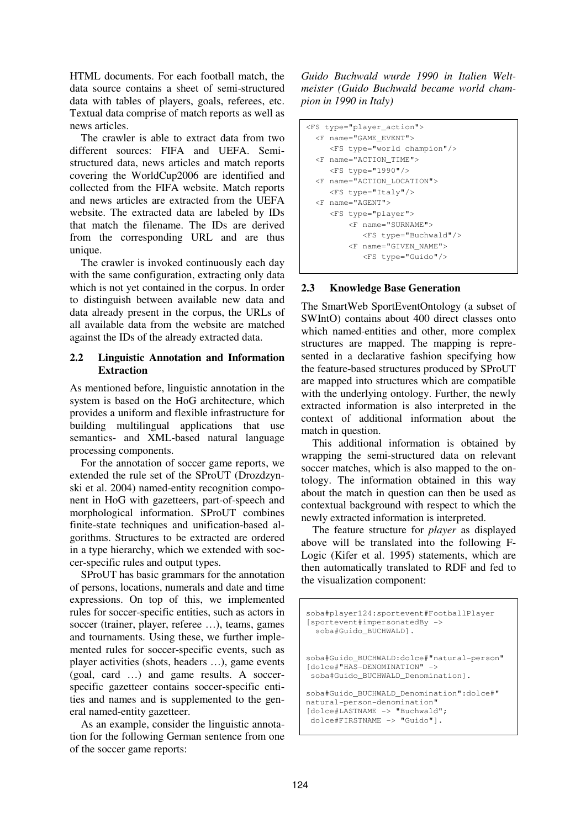HTML documents. For each football match, the data source contains a sheet of semi-structured data with tables of players, goals, referees, etc. Textual data comprise of match reports as well as news articles.

The crawler is able to extract data from two different sources: FIFA and UEFA. Semistructured data, news articles and match reports covering the WorldCup2006 are identified and collected from the FIFA website. Match reports and news articles are extracted from the UEFA website. The extracted data are labeled by IDs that match the filename. The IDs are derived from the corresponding URL and are thus unique.

The crawler is invoked continuously each day with the same configuration, extracting only data which is not vet contained in the corpus. In order to distinguish between available new data and data already present in the corpus, the URLs of all available data from the website are matched against the IDs of the already extracted data.

#### **2.2 Linguistic Annotation and Information Extraction**

As mentioned before, linguistic annotation in the system is based on the HoG architecture, which provides a uniform and flexible infrastructure for building multilingual applications that use semantics- and XML-based natural language processing components.

For the annotation of soccer game reports, we extended the rule set of the SProUT (Drozdzynski et al. 2004) named-entity recognition component in HoG with gazetteers, part-of-speech and morphological information. SProUT combines finite-state techniques and unification-based algorithms. Structures to be extracted are ordered in a type hierarchy, which we extended with soccer-specific rules and output types.

SProUT has basic grammars for the annotation of persons, locations, numerals and date and time expressions. On top of this, we implemented rules for soccer-specific entities, such as actors in soccer (trainer, player, referee …), teams, games and tournaments. Using these, we further implemented rules for soccer-specific events, such as player activities (shots, headers …), game events (goal, card …) and game results. A soccerspecific gazetteer contains soccer-specific entities and names and is supplemented to the general named-entity gazetteer.

As an example, consider the linguistic annotation for the following German sentence from one of the soccer game reports:

*Guido Buchwald wurde 1990 in Italien Weltmeister (Guido Buchwald became world champion in 1990 in Italy)*

```
<FS type="player_action">
 <F name="GAME_EVENT">
     <FS type="world champion"/>
 <F name="ACTION_TIME">
    <FS type="1990"/>
 <F name="ACTION_LOCATION">
    <FS type="Italy"/>
 <F name="AGENT">
    <FS type="player">
        <F name="SURNAME">
           <FS type="Buchwald"/>
         <F name="GIVEN_NAME">
           <FS type="Guido"/>
```
### **2.3 Knowledge Base Generation**

The SmartWeb SportEventOntology (a subset of SWIntO) contains about 400 direct classes onto which named-entities and other, more complex structures are mapped. The mapping is represented in a declarative fashion specifying how the feature-based structures produced by SProUT are mapped into structures which are compatible with the underlying ontology. Further, the newly extracted information is also interpreted in the context of additional information about the match in question.

This additional information is obtained by wrapping the semi-structured data on relevant soccer matches, which is also mapped to the ontology. The information obtained in this way about the match in question can then be used as contextual background with respect to which the newly extracted information is interpreted.

The feature structure for *player* as displayed above will be translated into the following F-Logic (Kifer et al. 1995) statements, which are then automatically translated to RDF and fed to the visualization component:

```
soba#player124:sportevent#FootballPlayer
[sportevent#impersonatedBy ->
  soba#Guido_BUCHWALD].
soba#Guido_BUCHWALD:dolce#"natural-person"
[dolce#"HAS-DENOMINATION" ->
 soba#Guido_BUCHWALD_Denomination].
soba#Guido_BUCHWALD_Denomination":dolce#"
natural-person-denomination"
[dolce#LASTNAME -> "Buchwald";
 dolce#FIRSTNAME -> "Guido"].
```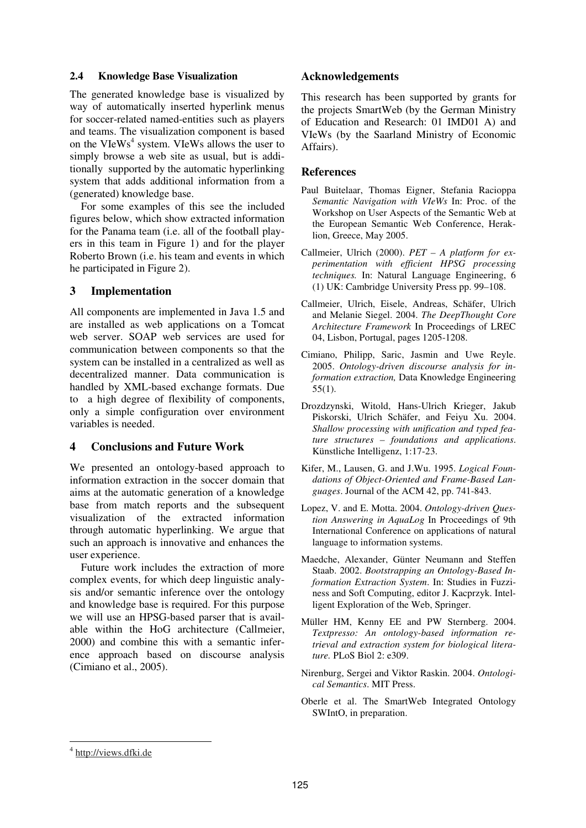#### **2.4 Knowledge Base Visualization**

The generated knowledge base is visualized by way of automatically inserted hyperlink menus for soccer-related named-entities such as players and teams. The visualization component is based on the VIeWs<sup>4</sup> system. VIeWs allows the user to simply browse a web site as usual, but is additionally supported by the automatic hyperlinking system that adds additional information from a (generated) knowledge base.

For some examples of this see the included figures below, which show extracted information for the Panama team (i.e. all of the football players in this team in Figure 1) and for the player Roberto Brown (i.e. his team and events in which he participated in Figure 2).

### **3 Implementation**

All components are implemented in Java 1.5 and are installed as web applications on a Tomcat web server. SOAP web services are used for communication between components so that the system can be installed in a centralized as well as decentralized manner. Data communication is handled by XML-based exchange formats. Due to a high degree of flexibility of components, only a simple configuration over environment variables is needed.

# **4 Conclusions and Future Work**

We presented an ontology-based approach to information extraction in the soccer domain that aims at the automatic generation of a knowledge base from match reports and the subsequent visualization of the extracted information through automatic hyperlinking. We argue that such an approach is innovative and enhances the user experience.

Future work includes the extraction of more complex events, for which deep linguistic analysis and/or semantic inference over the ontology and knowledge base is required. For this purpose we will use an HPSG-based parser that is available within the HoG architecture (Callmeier, 2000) and combine this with a semantic inference approach based on discourse analysis (Cimiano et al., 2005).

# **Acknowledgements**

This research has been supported by grants for the projects SmartWeb (by the German Ministry of Education and Research: 01 IMD01 A) and VIeWs (by the Saarland Ministry of Economic Affairs).

#### **References**

- Paul Buitelaar, Thomas Eigner, Stefania Racioppa *Semantic Navigation with VIeWs* In: Proc. of the Workshop on User Aspects of the Semantic Web at the European Semantic Web Conference, Heraklion, Greece, May 2005.
- Callmeier, Ulrich (2000). *PET A platform for experimentation with efficient HPSG processing techniques.* In: Natural Language Engineering, 6 (1) UK: Cambridge University Press pp. 99–108.
- Callmeier, Ulrich, Eisele, Andreas, Schäfer, Ulrich and Melanie Siegel. 2004. *The DeepThought Core Architecture Framework* In Proceedings of LREC 04, Lisbon, Portugal, pages 1205-1208.
- Cimiano, Philipp, Saric, Jasmin and Uwe Reyle. 2005. *Ontology-driven discourse analysis for information extraction,* Data Knowledge Engineering 55(1).
- Drozdzynski, Witold, Hans-Ulrich Krieger, Jakub Piskorski, Ulrich Schäfer, and Feiyu Xu. 2004. *Shallow processing with unification and typed feature structures – foundations and applications*. Künstliche Intelligenz, 1:17-23.
- Kifer, M., Lausen, G. and J.Wu. 1995. *Logical Foundations of Object-Oriented and Frame-Based Languages*. Journal of the ACM 42, pp. 741-843.
- Lopez, V. and E. Motta. 2004. *Ontology-driven Question Answering in AquaLog* In Proceedings of 9th International Conference on applications of natural language to information systems.
- Maedche, Alexander, Günter Neumann and Steffen Staab. 2002. *Bootstrapping an Ontology-Based Information Extraction System*. In: Studies in Fuzziness and Soft Computing, editor J. Kacprzyk. Intelligent Exploration of the Web, Springer.
- Müller HM, Kenny EE and PW Sternberg. 2004. *Textpresso: An ontology-based information retrieval and extraction system for biological literature.* PLoS Biol 2: e309.
- Nirenburg, Sergei and Viktor Raskin. 2004. *Ontological Semantics*. MIT Press.
- Oberle et al. The SmartWeb Integrated Ontology SWIntO, in preparation.

<sup>&</sup>lt;sup>4</sup> http://views.dfki.de